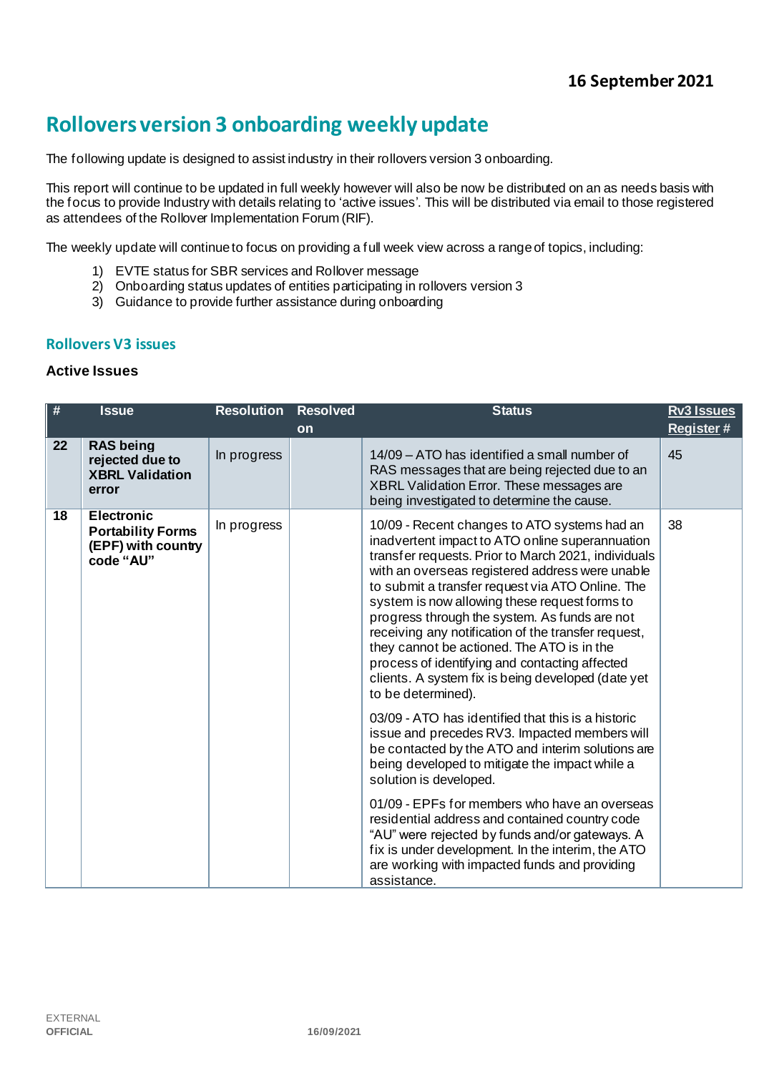# **Rollovers version 3 onboarding weekly update**

The following update is designed to assist industry in their rollovers version 3 onboarding.

This report will continue to be updated in full weekly however will also be now be distributed on an as needs basis with the focus to provide Industry with details relating to 'active issues'. This will be distributed via email to those registered as attendees of the Rollover Implementation Forum (RIF).

The weekly update will continue to focus on providing a full week view across a range of topics, including:

- 1) EVTE status for SBR services and Rollover message
- 2) Onboarding status updates of entities participating in rollovers version 3
- 3) Guidance to provide further assistance during onboarding

#### **Rollovers V3 issues**

#### **Active Issues**

| #  | <b>Issue</b>                                                                     | <b>Resolution</b> | <b>Resolved</b> | <b>Status</b>                                                                                                                                                                                                                                                                                                                                                                                                                                                                                                                                                                                      | Rv3 Issues       |
|----|----------------------------------------------------------------------------------|-------------------|-----------------|----------------------------------------------------------------------------------------------------------------------------------------------------------------------------------------------------------------------------------------------------------------------------------------------------------------------------------------------------------------------------------------------------------------------------------------------------------------------------------------------------------------------------------------------------------------------------------------------------|------------------|
|    |                                                                                  |                   | <b>on</b>       |                                                                                                                                                                                                                                                                                                                                                                                                                                                                                                                                                                                                    | <b>Register#</b> |
| 22 | <b>RAS</b> being<br>rejected due to<br><b>XBRL Validation</b><br>error           | In progress       |                 | 14/09 – ATO has identified a small number of<br>RAS messages that are being rejected due to an<br>XBRL Validation Error. These messages are<br>being investigated to determine the cause.                                                                                                                                                                                                                                                                                                                                                                                                          | 45               |
| 18 | <b>Electronic</b><br><b>Portability Forms</b><br>(EPF) with country<br>code "AU" | In progress       |                 | 10/09 - Recent changes to ATO systems had an<br>inadvertent impact to ATO online superannuation<br>transfer requests. Prior to March 2021, individuals<br>with an overseas registered address were unable<br>to submit a transfer request via ATO Online. The<br>system is now allowing these request forms to<br>progress through the system. As funds are not<br>receiving any notification of the transfer request,<br>they cannot be actioned. The ATO is in the<br>process of identifying and contacting affected<br>clients. A system fix is being developed (date yet<br>to be determined). | 38               |
|    |                                                                                  |                   |                 | 03/09 - ATO has identified that this is a historic<br>issue and precedes RV3. Impacted members will<br>be contacted by the ATO and interim solutions are<br>being developed to mitigate the impact while a<br>solution is developed.                                                                                                                                                                                                                                                                                                                                                               |                  |
|    |                                                                                  |                   |                 | 01/09 - EPFs for members who have an overseas<br>residential address and contained country code<br>"AU" were rejected by funds and/or gateways. A<br>fix is under development. In the interim, the ATO<br>are working with impacted funds and providing<br>assistance.                                                                                                                                                                                                                                                                                                                             |                  |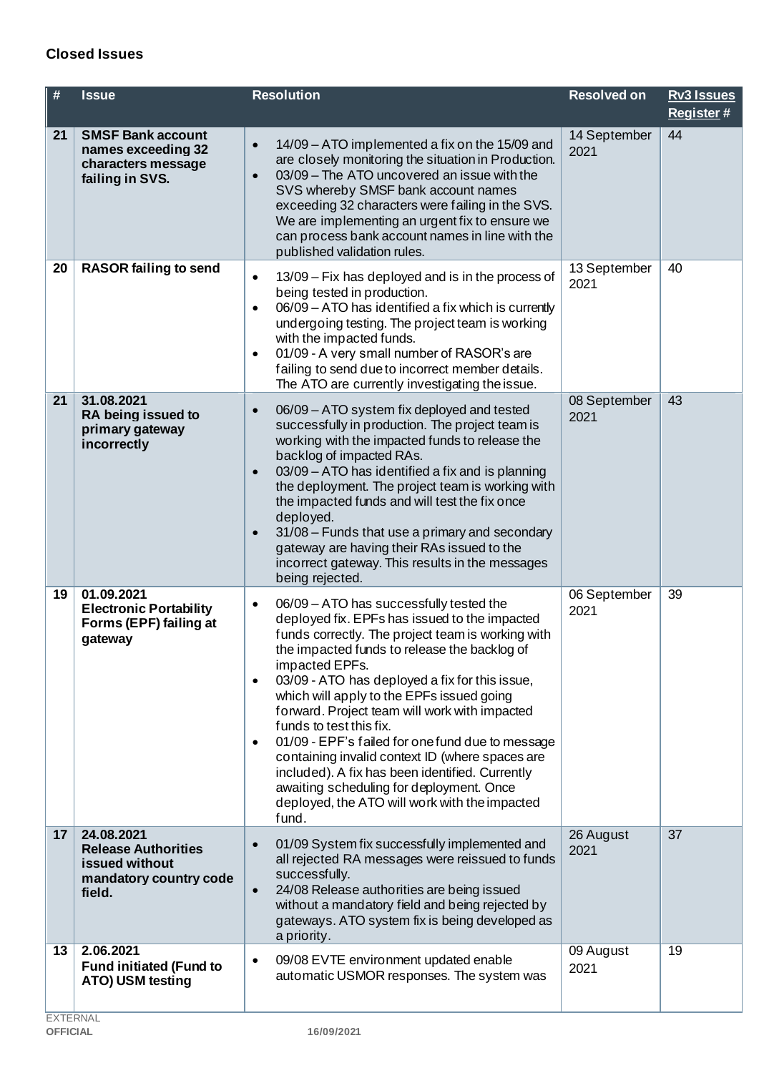## **Closed Issues**

| #  | <b>Issue</b>                                                                                   | <b>Resolution</b>                                                                                                                                                                                                                                                                                                                                                                                                                                                                                                                                                                                                                                                                 | <b>Resolved on</b>   | <b>Rv3 Issues</b><br><b>Register#</b> |
|----|------------------------------------------------------------------------------------------------|-----------------------------------------------------------------------------------------------------------------------------------------------------------------------------------------------------------------------------------------------------------------------------------------------------------------------------------------------------------------------------------------------------------------------------------------------------------------------------------------------------------------------------------------------------------------------------------------------------------------------------------------------------------------------------------|----------------------|---------------------------------------|
| 21 | <b>SMSF Bank account</b><br>names exceeding 32<br>characters message<br>failing in SVS.        | 14/09 - ATO implemented a fix on the 15/09 and<br>$\bullet$<br>are closely monitoring the situation in Production.<br>03/09 - The ATO uncovered an issue with the<br>$\bullet$<br>SVS whereby SMSF bank account names<br>exceeding 32 characters were failing in the SVS.<br>We are implementing an urgent fix to ensure we<br>can process bank account names in line with the<br>published validation rules.                                                                                                                                                                                                                                                                     | 14 September<br>2021 | 44                                    |
| 20 | <b>RASOR failing to send</b>                                                                   | 13/09 – Fix has deployed and is in the process of<br>$\bullet$<br>being tested in production.<br>06/09 - ATO has identified a fix which is currently<br>$\bullet$<br>undergoing testing. The project team is working<br>with the impacted funds.<br>01/09 - A very small number of RASOR's are<br>$\bullet$<br>failing to send due to incorrect member details.<br>The ATO are currently investigating the issue.                                                                                                                                                                                                                                                                 | 13 September<br>2021 | 40                                    |
| 21 | 31.08.2021<br>RA being issued to<br>primary gateway<br>incorrectly                             | 06/09 - ATO system fix deployed and tested<br>$\bullet$<br>successfully in production. The project team is<br>working with the impacted funds to release the<br>backlog of impacted RAs.<br>03/09 - ATO has identified a fix and is planning<br>$\bullet$<br>the deployment. The project team is working with<br>the impacted funds and will test the fix once<br>deployed.<br>31/08 - Funds that use a primary and secondary<br>$\bullet$<br>gateway are having their RAs issued to the<br>incorrect gateway. This results in the messages<br>being rejected.                                                                                                                    | 08 September<br>2021 | 43                                    |
| 19 | 01.09.2021<br><b>Electronic Portability</b><br>Forms (EPF) failing at<br>gateway               | 06/09 - ATO has successfully tested the<br>٠<br>deployed fix. EPFs has issued to the impacted<br>funds correctly. The project team is working with<br>the impacted funds to release the backlog of<br>impacted EPFs.<br>03/09 - ATO has deployed a fix for this issue,<br>$\bullet$<br>which will apply to the EPFs issued going<br>forward. Project team will work with impacted<br>funds to test this fix.<br>01/09 - EPF's failed for one fund due to message<br>٠<br>containing invalid context ID (where spaces are<br>included). A fix has been identified. Currently<br>awaiting scheduling for deployment. Once<br>deployed, the ATO will work with the impacted<br>fund. | 06 September<br>2021 | 39                                    |
| 17 | 24.08.2021<br><b>Release Authorities</b><br>issued without<br>mandatory country code<br>field. | 01/09 System fix successfully implemented and<br>$\bullet$<br>all rejected RA messages were reissued to funds<br>successfully.<br>24/08 Release authorities are being issued<br>$\bullet$<br>without a mandatory field and being rejected by<br>gateways. ATO system fix is being developed as<br>a priority.                                                                                                                                                                                                                                                                                                                                                                     | 26 August<br>2021    | 37                                    |
| 13 | 2.06.2021<br><b>Fund initiated (Fund to</b><br>ATO) USM testing                                | 09/08 EVTE environment updated enable<br>$\bullet$<br>automatic USMOR responses. The system was                                                                                                                                                                                                                                                                                                                                                                                                                                                                                                                                                                                   | 09 August<br>2021    | 19                                    |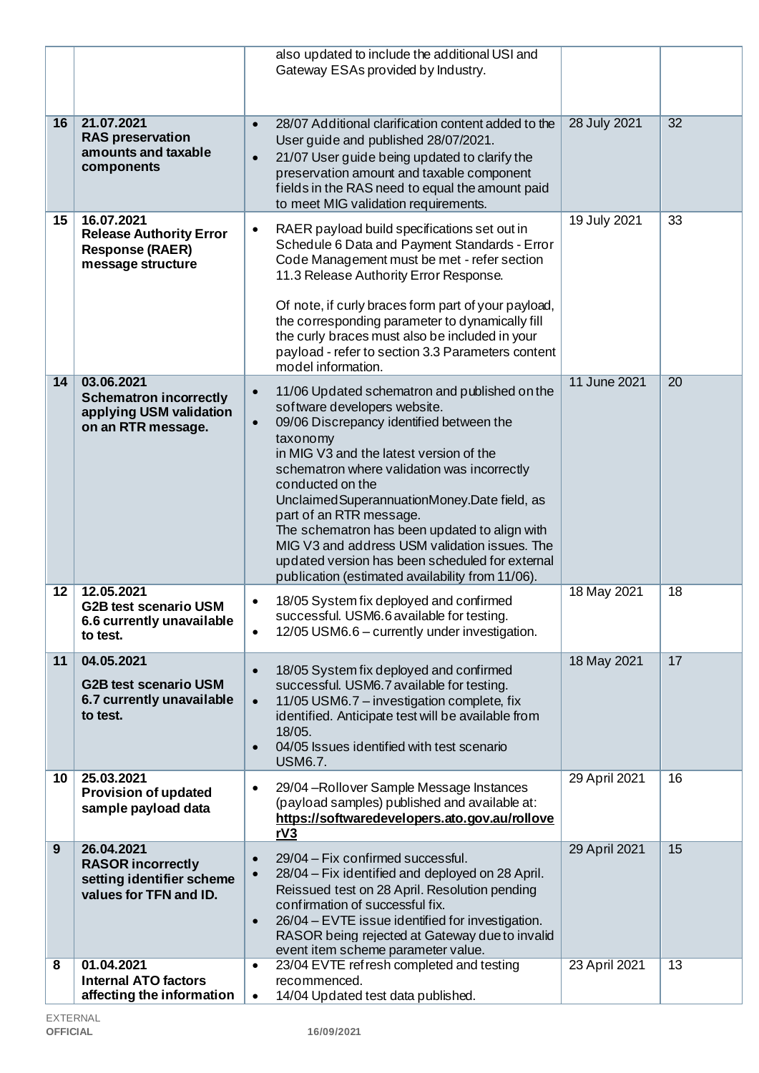|    |                                                                                               | also updated to include the additional USI and<br>Gateway ESAs provided by Industry.                                                                                                                                                                                                                                                                                                                                                                                                                                                                                |               |                 |
|----|-----------------------------------------------------------------------------------------------|---------------------------------------------------------------------------------------------------------------------------------------------------------------------------------------------------------------------------------------------------------------------------------------------------------------------------------------------------------------------------------------------------------------------------------------------------------------------------------------------------------------------------------------------------------------------|---------------|-----------------|
| 16 | 21.07.2021<br><b>RAS</b> preservation<br>amounts and taxable<br>components                    | 28/07 Additional clarification content added to the<br>$\bullet$<br>User guide and published 28/07/2021.<br>21/07 User guide being updated to clarify the<br>$\bullet$<br>preservation amount and taxable component<br>fields in the RAS need to equal the amount paid<br>to meet MIG validation requirements.                                                                                                                                                                                                                                                      | 28 July 2021  | $\overline{32}$ |
| 15 | 16.07.2021<br><b>Release Authority Error</b><br><b>Response (RAER)</b><br>message structure   | RAER payload build specifications set out in<br>$\bullet$<br>Schedule 6 Data and Payment Standards - Error<br>Code Management must be met - refer section<br>11.3 Release Authority Error Response.<br>Of note, if curly braces form part of your payload,<br>the corresponding parameter to dynamically fill<br>the curly braces must also be included in your<br>payload - refer to section 3.3 Parameters content<br>model information.                                                                                                                          | 19 July 2021  | 33              |
| 14 | 03.06.2021<br><b>Schematron incorrectly</b><br>applying USM validation<br>on an RTR message.  | 11/06 Updated schematron and published on the<br>$\bullet$<br>software developers website.<br>09/06 Discrepancy identified between the<br>$\bullet$<br>taxonomy<br>in MIG V3 and the latest version of the<br>schematron where validation was incorrectly<br>conducted on the<br>Unclaimed Superannuation Money. Date field, as<br>part of an RTR message.<br>The schematron has been updated to align with<br>MIG V3 and address USM validation issues. The<br>updated version has been scheduled for external<br>publication (estimated availability from 11/06). | 11 June 2021  | 20              |
| 12 | 12.05.2021<br><b>G2B test scenario USM</b><br>6.6 currently unavailable<br>to test.           | 18/05 System fix deployed and confirmed<br>$\bullet$<br>successful. USM6.6 available for testing.<br>12/05 USM6.6 - currently under investigation.<br>$\bullet$                                                                                                                                                                                                                                                                                                                                                                                                     | 18 May 2021   | 18              |
| 11 | 04.05.2021<br><b>G2B test scenario USM</b><br>6.7 currently unavailable<br>to test.           | 18/05 System fix deployed and confirmed<br>$\bullet$<br>successful. USM6.7 available for testing.<br>11/05 USM6.7 - investigation complete, fix<br>$\bullet$<br>identified. Anticipate test will be available from<br>18/05.<br>04/05 Issues identified with test scenario<br>$\bullet$<br><b>USM6.7.</b>                                                                                                                                                                                                                                                           | 18 May 2021   | 17              |
| 10 | 25.03.2021<br><b>Provision of updated</b><br>sample payload data                              | 29/04 - Rollover Sample Message Instances<br>$\bullet$<br>(payload samples) published and available at:<br>https://softwaredevelopers.ato.gov.au/rollove<br><u>rV3</u>                                                                                                                                                                                                                                                                                                                                                                                              | 29 April 2021 | 16              |
| 9  | 26.04.2021<br><b>RASOR incorrectly</b><br>setting identifier scheme<br>values for TFN and ID. | 29/04 - Fix confirmed successful.<br>$\bullet$<br>28/04 - Fix identified and deployed on 28 April.<br>$\bullet$<br>Reissued test on 28 April. Resolution pending<br>confirmation of successful fix.<br>26/04 - EVTE issue identified for investigation.<br>$\bullet$<br>RASOR being rejected at Gateway due to invalid<br>event item scheme parameter value.                                                                                                                                                                                                        | 29 April 2021 | 15              |
| 8  | 01.04.2021<br><b>Internal ATO factors</b><br>affecting the information                        | 23/04 EVTE refresh completed and testing<br>$\bullet$<br>recommenced.<br>14/04 Updated test data published.<br>$\bullet$                                                                                                                                                                                                                                                                                                                                                                                                                                            | 23 April 2021 | $\overline{13}$ |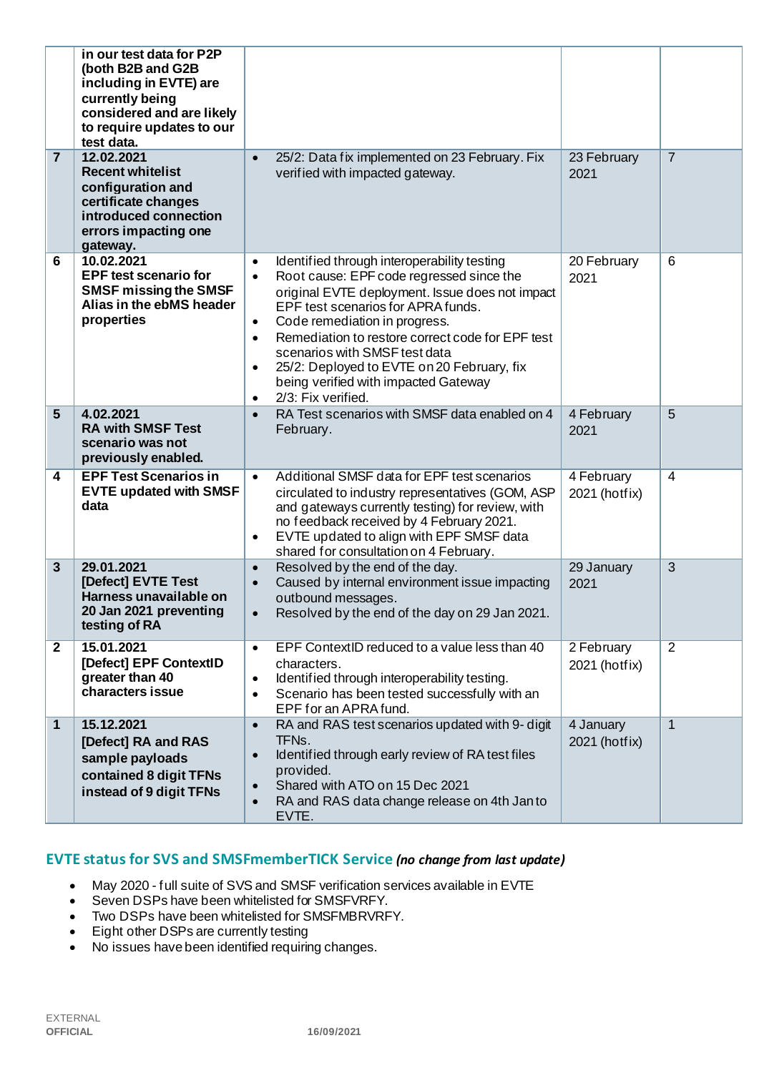|                | in our test data for P2P<br>(both B2B and G2B<br>including in EVTE) are<br>currently being<br>considered and are likely<br>to require updates to our<br>test data. |                                                                            |                                                                                                                                                                                                                                                                                                                                                                                                                    |                             |                |
|----------------|--------------------------------------------------------------------------------------------------------------------------------------------------------------------|----------------------------------------------------------------------------|--------------------------------------------------------------------------------------------------------------------------------------------------------------------------------------------------------------------------------------------------------------------------------------------------------------------------------------------------------------------------------------------------------------------|-----------------------------|----------------|
| $\overline{7}$ | 12.02.2021<br><b>Recent whitelist</b><br>configuration and<br>certificate changes<br>introduced connection<br>errors impacting one<br>gateway.                     | $\bullet$                                                                  | 25/2: Data fix implemented on 23 February. Fix<br>verified with impacted gateway.                                                                                                                                                                                                                                                                                                                                  | 23 February<br>2021         | $\overline{7}$ |
| 6              | 10.02.2021<br><b>EPF test scenario for</b><br><b>SMSF missing the SMSF</b><br>Alias in the ebMS header<br>properties                                               | $\bullet$<br>$\bullet$<br>$\bullet$<br>$\bullet$<br>$\bullet$<br>$\bullet$ | Identified through interoperability testing<br>Root cause: EPF code regressed since the<br>original EVTE deployment. Issue does not impact<br>EPF test scenarios for APRA funds.<br>Code remediation in progress.<br>Remediation to restore correct code for EPF test<br>scenarios with SMSF test data<br>25/2: Deployed to EVTE on 20 February, fix<br>being verified with impacted Gateway<br>2/3: Fix verified. | 20 February<br>2021         | 6              |
| 5              | 4.02.2021<br><b>RA with SMSF Test</b><br>scenario was not<br>previously enabled.                                                                                   | $\bullet$                                                                  | RA Test scenarios with SMSF data enabled on 4<br>February.                                                                                                                                                                                                                                                                                                                                                         | 4 February<br>2021          | 5              |
| 4              | <b>EPF Test Scenarios in</b><br><b>EVTE updated with SMSF</b><br>data                                                                                              | $\bullet$<br>$\bullet$                                                     | Additional SMSF data for EPF test scenarios<br>circulated to industry representatives (GOM, ASP<br>and gateways currently testing) for review, with<br>no feedback received by 4 February 2021.<br>EVTE updated to align with EPF SMSF data<br>shared for consultation on 4 February.                                                                                                                              | 4 February<br>2021 (hotfix) | $\overline{4}$ |
| $\mathbf{3}$   | 29.01.2021<br>[Defect] EVTE Test<br>Harness unavailable on<br>20 Jan 2021 preventing<br>testing of RA                                                              | $\bullet$<br>$\bullet$<br>$\bullet$                                        | Resolved by the end of the day.<br>Caused by internal environment issue impacting<br>outbound messages.<br>Resolved by the end of the day on 29 Jan 2021.                                                                                                                                                                                                                                                          | 29 January<br>2021          | 3              |
| $\mathbf{2}$   | 15.01.2021<br>[Defect] EPF ContextID<br>greater than 40<br>characters issue                                                                                        | $\bullet$<br>$\bullet$<br>$\bullet$                                        | EPF ContextID reduced to a value less than 40<br>characters.<br>Identified through interoperability testing.<br>Scenario has been tested successfully with an<br>EPF for an APRA fund.                                                                                                                                                                                                                             | 2 February<br>2021 (hotfix) | $\overline{2}$ |
| $\mathbf{1}$   | 15.12.2021<br>[Defect] RA and RAS<br>sample payloads<br>contained 8 digit TFNs<br>instead of 9 digit TFNs                                                          | $\bullet$<br>$\bullet$<br>$\bullet$<br>$\bullet$                           | RA and RAS test scenarios updated with 9- digit<br>TFN <sub>s</sub> .<br>Identified through early review of RA test files<br>provided.<br>Shared with ATO on 15 Dec 2021<br>RA and RAS data change release on 4th Jan to<br>EVTE.                                                                                                                                                                                  | 4 January<br>2021 (hotfix)  | $\mathbf{1}$   |

# **EVTE status for SVS and SMSFmemberTICK Service** *(no change from last update)*

- May 2020 full suite of SVS and SMSF verification services available in EVTE
- Seven DSPs have been whitelisted for SMSFVRFY.
- Two DSPs have been whitelisted for SMSFMBRVRFY.
- Eight other DSPs are currently testing
- No issues have been identified requiring changes.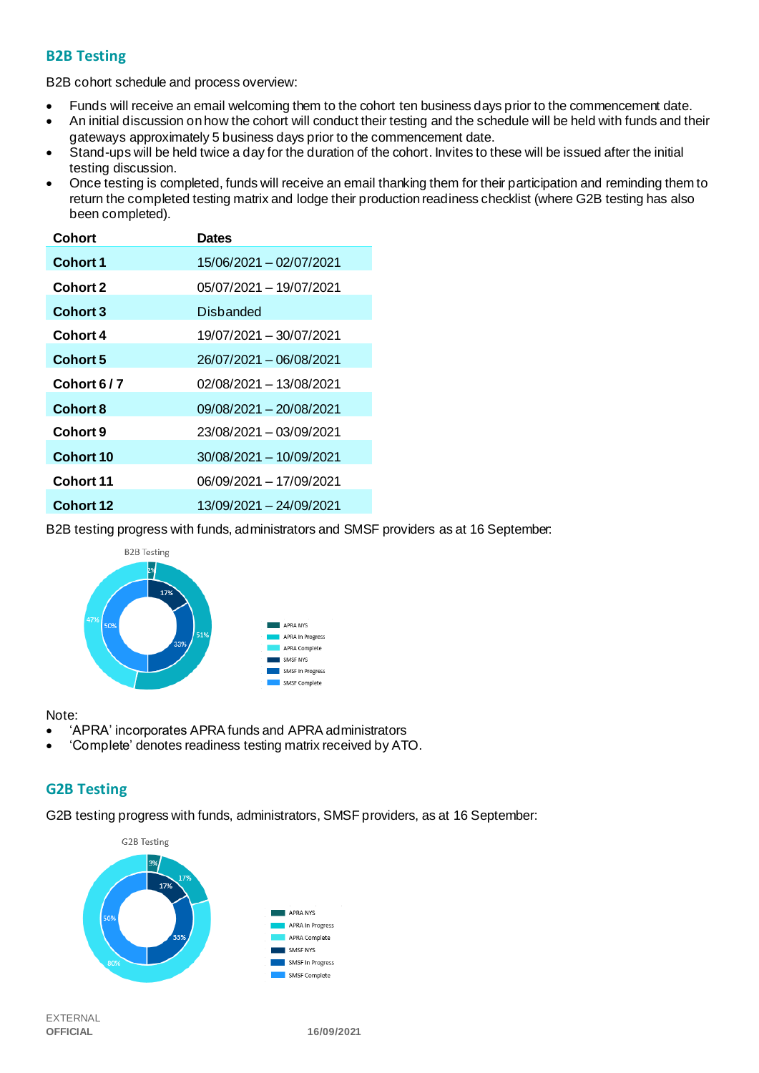#### **B2B Testing**

B2B cohort schedule and process overview:

- Funds will receive an email welcoming them to the cohort ten business days prior to the commencement date.
- An initial discussion on how the cohort will conduct their testing and the schedule will be held with funds and their gateways approximately 5 business days prior to the commencement date.
- Stand-ups will be held twice a day for the duration of the cohort. Invites to these will be issued after the initial testing discussion.
- Once testing is completed, funds will receive an email thanking them for their participation and reminding them to return the completed testing matrix and lodge their production readiness checklist (where G2B testing has also been completed).

| <b>Dates</b>            |  |  |
|-------------------------|--|--|
| 15/06/2021 - 02/07/2021 |  |  |
| 05/07/2021 - 19/07/2021 |  |  |
| Disbanded               |  |  |
| 19/07/2021 - 30/07/2021 |  |  |
| 26/07/2021 - 06/08/2021 |  |  |
| 02/08/2021 - 13/08/2021 |  |  |
| 09/08/2021 - 20/08/2021 |  |  |
| 23/08/2021 - 03/09/2021 |  |  |
| 30/08/2021 - 10/09/2021 |  |  |
| 06/09/2021 - 17/09/2021 |  |  |
| 13/09/2021 - 24/09/2021 |  |  |
|                         |  |  |

B2B testing progress with funds, administrators and SMSF providers as at 16 September:



Note:

- 'APRA' incorporates APRA funds and APRA administrators
- 'Complete' denotes readiness testing matrix received by ATO.

# **G2B Testing**

G2B testing progress with funds, administrators, SMSF providers, as at 16 September:

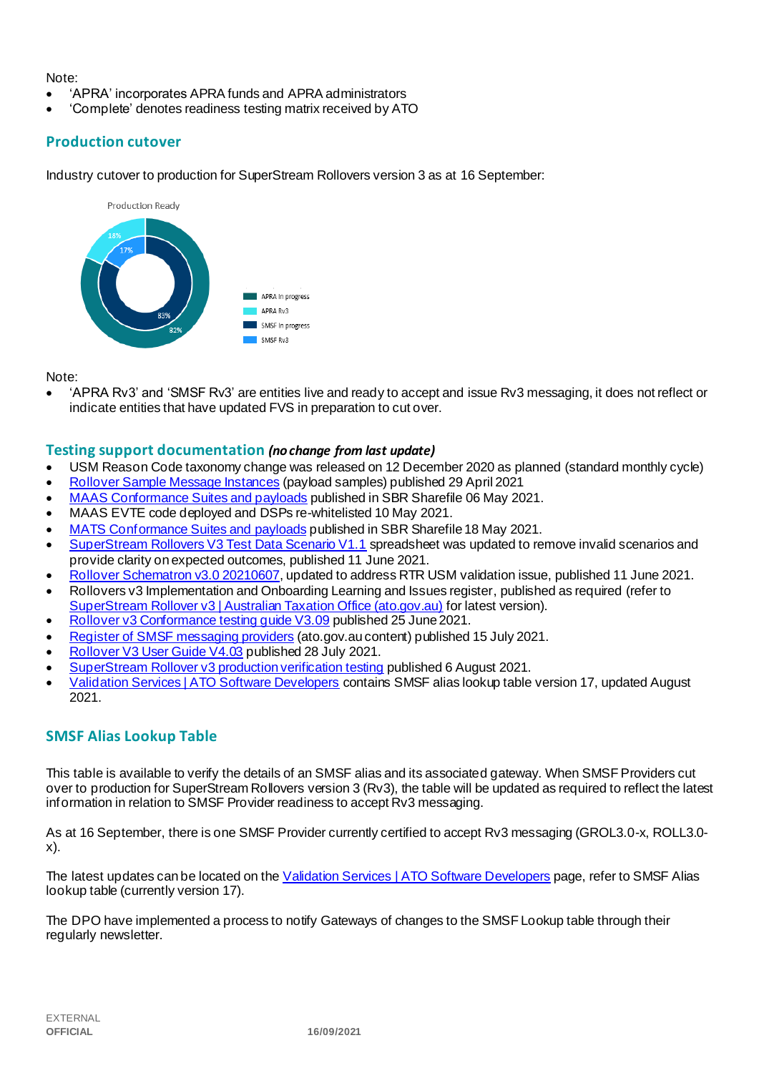Note:

- 'APRA' incorporates APRA funds and APRA administrators
- 'Complete' denotes readiness testing matrix received by ATO

## **Production cutover**

Industry cutover to production for SuperStream Rollovers version 3 as at 16 September:



#### Note:

• 'APRA Rv3' and 'SMSF Rv3' are entities live and ready to accept and issue Rv3 messaging, it does not reflect or indicate entities that have updated FVS in preparation to cut over.

#### **Testing support documentation** *(no change from last update)*

- USM Reason Code taxonomy change was released on 12 December 2020 as planned (standard monthly cycle)
- [Rollover Sample Message Instances](https://softwaredevelopers.ato.gov.au/rolloverV3) (payload samples) published 29 April 2021
- [MAAS Conformance Suites and payloads](https://standardbusinessreporting.sharefile.com/home/shared/fod63f12-7bbb-4c61-96e7-33dc9eae4d9a) published in SBR Sharefile 06 May 2021.
- MAAS EVTE code deployed and DSPs re-whitelisted 10 May 2021.
- [MATS Conformance Suites and payloads](http://standardbusinessreporting.sharefile.com/) published in SBR Sharefile 18 May 2021.
- [SuperStream Rollovers V3 Test Data Scenario V1.1](https://softwaredevelopers.ato.gov.au/sites/default/files/2021-06/SuperStream_RolloversV3_Test_Data_Scenario_V1.1-1.xlsx) spreadsheet was updated to remove invalid scenarios and provide clarity on expected outcomes, published 11 June 2021.
- [Rollover Schematron v3.0 20210607](https://softwaredevelopers.ato.gov.au/sites/default/files/2021-06/Rollover_SPRROL.0003_Schematron_20210607-1.zip), updated to address RTR USM validation issue, published 11 June 2021.
- Rollovers v3 Implementation and Onboarding Learning and Issues register, published as required (refer to [SuperStream Rollover v3 | Australian Taxation Office \(ato.gov.au\)](https://www.ato.gov.au/Super/Sup/SuperStream-Rollover-v3/) for latest version).
- [Rollover v3 Conformance testing guide V3.09](https://softwaredevelopers.ato.gov.au/sites/default/files/2021-06/Rollover_V3_Conformance_Testing_Guide_version_3.09_Final.pdf) published 25 June 2021.
- [Register of SMSF messaging providers](https://www.ato.gov.au/Super/SuperStream/Self-managed-super-funds/Electronic-service-address/Register-of-SMSF-messaging-providers/) (ato.gov.au content) published 15 July 2021.
- [Rollover V3 User Guide V4.03](https://softwaredevelopers.ato.gov.au/sites/default/files/2021-07/Rollover_v3_User_Guide_V4.03_Final.pdf) published 28 July 2021.
- [SuperStream Rollover v3 production verification testing](https://www.ato.gov.au/uploadedFiles/Content/SPR/downloads/SuperStream_Rollover_v3_production_verification_testing.pdf) published 6 August 2021.
- [Validation Services | ATO Software Developers](https://softwaredevelopers.ato.gov.au/supervalidationservices) contains SMSF alias lookup table version 17, updated August 2021.

## **SMSF Alias Lookup Table**

This table is available to verify the details of an SMSF alias and its associated gateway. When SMSF Providers cut over to production for SuperStream Rollovers version 3 (Rv3), the table will be updated as required to reflect the latest information in relation to SMSF Provider readiness to accept Rv3 messaging.

As at 16 September, there is one SMSF Provider currently certified to accept Rv3 messaging (GROL3.0-x, ROLL3.0 x).

The latest updates can be located on th[e Validation Services | ATO Software Developers](https://softwaredevelopers.ato.gov.au/supervalidationservices) page, refer to SMSF Alias lookup table (currently version 17).

The DPO have implemented a process to notify Gateways of changes to the SMSF Lookup table through their regularly newsletter.